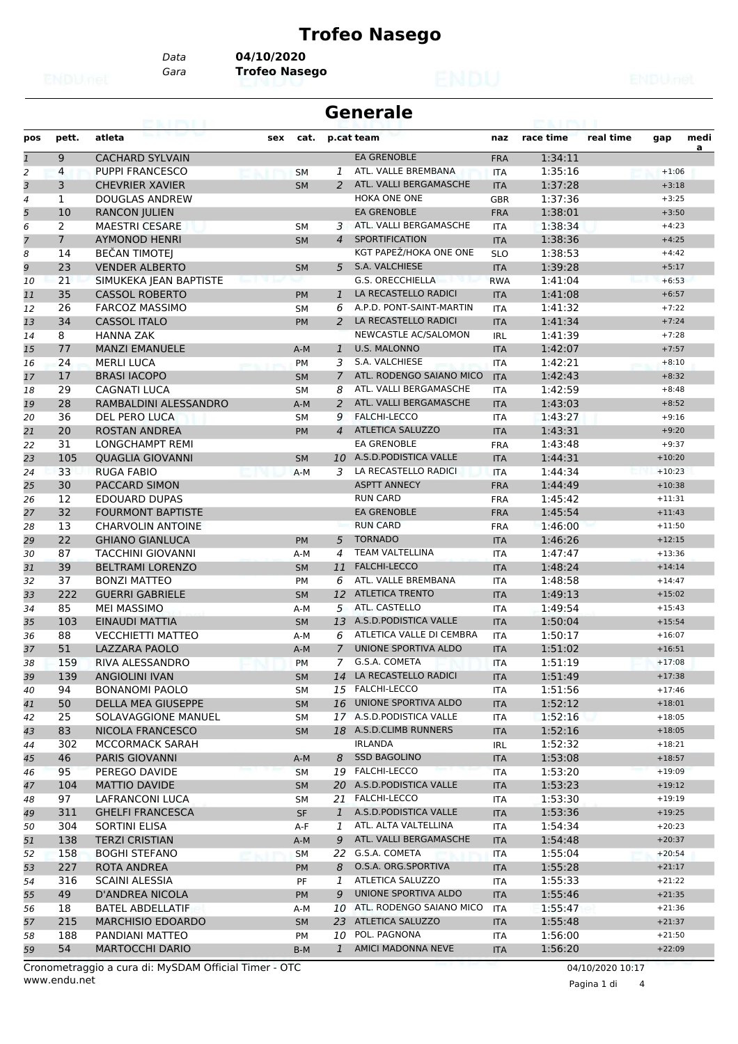# **Trofeo Nasego**

*Data* **04/10/2020**

*Gara* **Trofeo Nasego**

| <b>Generale</b> |              |                          |     |           |                |                          |            |           |           |          |           |
|-----------------|--------------|--------------------------|-----|-----------|----------------|--------------------------|------------|-----------|-----------|----------|-----------|
| pos             | pett.        | atleta                   | sex | cat.      |                | p.cat team               | naz        | race time | real time | gap      | medi<br>a |
| $\overline{1}$  | 9            | <b>CACHARD SYLVAIN</b>   |     |           |                | <b>EA GRENOBLE</b>       | <b>FRA</b> | 1:34:11   |           |          |           |
| $\overline{2}$  | 4            | <b>PUPPI FRANCESCO</b>   |     | <b>SM</b> | 1              | ATL, VALLE BREMBANA      | <b>ITA</b> | 1:35:16   |           | $+1:06$  |           |
| 3               | 3            | <b>CHEVRIER XAVIER</b>   |     | <b>SM</b> | $\mathcal{P}$  | ATL. VALLI BERGAMASCHE   | <b>ITA</b> | 1:37:28   |           | $+3:18$  |           |
| $\overline{4}$  | $\mathbf{1}$ | <b>DOUGLAS ANDREW</b>    |     |           |                | <b>HOKA ONE ONE</b>      | <b>GBR</b> | 1:37:36   |           | $+3:25$  |           |
| 5               | 10           | <b>RANCON JULIEN</b>     |     |           |                | <b>EA GRENOBLE</b>       | <b>FRA</b> | 1:38:01   |           | $+3:50$  |           |
| 6               | 2            | <b>MAESTRI CESARE</b>    |     | <b>SM</b> | 3              | ATL. VALLI BERGAMASCHE   | <b>ITA</b> | 1:38:34   |           | $+4:23$  |           |
| $\overline{7}$  | $7^{\circ}$  | <b>AYMONOD HENRI</b>     |     | <b>SM</b> | $\overline{4}$ | <b>SPORTIFICATION</b>    | <b>ITA</b> | 1:38:36   |           | $+4:25$  |           |
| 8               | 14           | <b>BEČAN TIMOTEJ</b>     |     |           |                | KGT PAPEŽ/HOKA ONE ONE   | <b>SLO</b> | 1:38:53   |           | $+4:42$  |           |
| 9               | 23           | <b>VENDER ALBERTO</b>    |     | <b>SM</b> | 5              | S.A. VALCHIESE           | <b>ITA</b> | 1:39:28   |           | $+5:17$  |           |
| 10              | 21           | SIMUKEKA JEAN BAPTISTE   |     |           |                | <b>G.S. ORECCHIELLA</b>  | <b>RWA</b> | 1:41:04   |           | $+6:53$  |           |
| 11              | 35           | <b>CASSOL ROBERTO</b>    |     | <b>PM</b> | $\mathbf{1}$   | LA RECASTELLO RADICI     | <b>ITA</b> | 1:41:08   |           | $+6:57$  |           |
| 12              | 26           | <b>FARCOZ MASSIMO</b>    |     | <b>SM</b> | 6              | A.P.D. PONT-SAINT-MARTIN | <b>ITA</b> | 1:41:32   |           | $+7:22$  |           |
| 13              | 34           | <b>CASSOL ITALO</b>      |     | <b>PM</b> | 2              | LA RECASTELLO RADICI     | <b>ITA</b> | 1:41:34   |           | $+7:24$  |           |
| 14              | 8            | <b>HANNA ZAK</b>         |     |           |                | NEWCASTLE AC/SALOMON     | <b>IRL</b> | 1:41:39   |           | $+7:28$  |           |
| 15              | 77           | <b>MANZI EMANUELE</b>    |     | $A-M$     | $\mathbf{1}$   | <b>U.S. MALONNO</b>      | <b>ITA</b> | 1:42:07   |           | $+7:57$  |           |
| 16              | 24           | <b>MERLI LUCA</b>        |     | <b>PM</b> | 3              | S.A. VALCHIESE           | <b>ITA</b> | 1:42:21   |           | $+8:10$  |           |
| 17              | 17           | <b>BRASI IACOPO</b>      |     | <b>SM</b> | $\overline{7}$ | ATL. RODENGO SAIANO MICO | <b>ITA</b> | 1:42:43   |           | $+8:32$  |           |
| 18              | 29           | <b>CAGNATI LUCA</b>      |     | SM        | 8              | ATL. VALLI BERGAMASCHE   | <b>ITA</b> | 1:42:59   |           | $+8:48$  |           |
| 19              | 28           | RAMBALDINI ALESSANDRO    |     | $A-M$     | 2              | ATL. VALLI BERGAMASCHE   | <b>ITA</b> | 1:43:03   |           | $+8:52$  |           |
|                 | 36           | <b>DEL PERO LUCA</b>     |     |           | 9              | <b>FALCHI-LECCO</b>      |            | 1:43:27   |           | $+9:16$  |           |
| 20              |              |                          |     | <b>SM</b> | $\overline{4}$ | ATLETICA SALUZZO         | <b>ITA</b> | 1:43:31   |           | $+9:20$  |           |
| 21              | 20           | <b>ROSTAN ANDREA</b>     |     | <b>PM</b> |                | <b>EA GRENOBLE</b>       | <b>ITA</b> |           |           |          |           |
| 22              | 31           | LONGCHAMPT REMI          |     |           |                |                          | <b>FRA</b> | 1:43:48   |           | $+9:37$  |           |
| 23              | 105          | <b>QUAGLIA GIOVANNI</b>  |     | <b>SM</b> | 10             | A.S.D.PODISTICA VALLE    | <b>ITA</b> | 1:44:31   |           | $+10:20$ |           |
| 24              | 33           | <b>RUGA FABIO</b>        |     | $A-M$     | 3              | LA RECASTELLO RADICI     | <b>ITA</b> | 1:44:34   |           | $+10:23$ |           |
| 25              | 30           | <b>PACCARD SIMON</b>     |     |           |                | <b>ASPTT ANNECY</b>      | <b>FRA</b> | 1:44:49   |           | $+10:38$ |           |
| 26              | 12           | <b>EDOUARD DUPAS</b>     |     |           |                | <b>RUN CARD</b>          | <b>FRA</b> | 1:45:42   |           | $+11:31$ |           |
| 27              | 32           | <b>FOURMONT BAPTISTE</b> |     |           |                | <b>EA GRENOBLE</b>       | <b>FRA</b> | 1:45:54   |           | $+11:43$ |           |
| 28              | 13           | <b>CHARVOLIN ANTOINE</b> |     |           |                | <b>RUN CARD</b>          | <b>FRA</b> | 1:46:00   |           | $+11:50$ |           |
| 29              | 22           | <b>GHIANO GIANLUCA</b>   |     | <b>PM</b> | 5              | <b>TORNADO</b>           | <b>ITA</b> | 1:46:26   |           | $+12:15$ |           |
| 30              | 87           | <b>TACCHINI GIOVANNI</b> |     | $A-M$     | 4              | <b>TEAM VALTELLINA</b>   | <b>ITA</b> | 1:47:47   |           | $+13:36$ |           |
| 31              | 39           | <b>BELTRAMI LORENZO</b>  |     | <b>SM</b> | 11             | <b>FALCHI-LECCO</b>      | <b>ITA</b> | 1:48:24   |           | $+14:14$ |           |
| 32              | 37           | <b>BONZI MATTEO</b>      |     | <b>PM</b> | 6              | ATL. VALLE BREMBANA      | <b>ITA</b> | 1:48:58   |           | $+14:47$ |           |
| 33              | 222          | <b>GUERRI GABRIELE</b>   |     | <b>SM</b> | 12             | <b>ATLETICA TRENTO</b>   | <b>ITA</b> | 1:49:13   |           | $+15:02$ |           |
| 34              | 85           | <b>MEI MASSIMO</b>       |     | $A-M$     | 5              | ATL. CASTELLO            | <b>ITA</b> | 1:49:54   |           | $+15:43$ |           |
| 35              | 103          | EINAUDI MATTIA           |     | <b>SM</b> | 13             | A.S.D. PODISTICA VALLE   | <b>ITA</b> | 1:50:04   |           | $+15:54$ |           |
| 36              | 88           | <b>VECCHIETTI MATTEO</b> |     | $A-M$     | 6              | ATLETICA VALLE DI CEMBRA | ITA        | 1:50:17   |           | $+16:07$ |           |
| 37              | 51           | LAZZARA PAOLO            |     | $A-M$     | 7              | UNIONE SPORTIVA ALDO     | <b>ITA</b> | 1:51:02   |           | $+16:51$ |           |
| 38              | 159          | RIVA ALESSANDRO          |     | PM        | 7              | G.S.A. COMETA            | ITA        | 1:51:19   |           | $+17:08$ |           |
| 39              | 139          | <b>ANGIOLINI IVAN</b>    |     | <b>SM</b> | 14             | LA RECASTELLO RADICI     | <b>ITA</b> | 1:51:49   |           | $+17:38$ |           |
| 40              | 94           | <b>BONANOMI PAOLO</b>    |     | <b>SM</b> |                | 15 FALCHI-LECCO          | ITA        | 1:51:56   |           | $+17:46$ |           |
| 41              | 50           | DELLA MEA GIUSEPPE       |     | <b>SM</b> | 16             | UNIONE SPORTIVA ALDO     | <b>ITA</b> | 1:52:12   |           | $+18:01$ |           |
| 42              | 25           | SOLAVAGGIONE MANUEL      |     | SM        |                | 17 A.S.D.PODISTICA VALLE | ITA        | 1:52:16   |           | $+18:05$ |           |
| 43              | 83           | NICOLA FRANCESCO         |     | <b>SM</b> |                | 18 A.S.D.CLIMB RUNNERS   | <b>ITA</b> | 1:52:16   |           | $+18:05$ |           |
| 44              | 302          | MCCORMACK SARAH          |     |           |                | <b>IRLANDA</b>           | IRL        | 1:52:32   |           | $+18:21$ |           |
| 45              | 46           | <b>PARIS GIOVANNI</b>    |     | A-M       | 8              | <b>SSD BAGOLINO</b>      | <b>ITA</b> | 1:53:08   |           | $+18:57$ |           |
| 46              | 95           | PEREGO DAVIDE            |     | <b>SM</b> |                | 19 FALCHI-LECCO          | <b>ITA</b> | 1:53:20   |           | $+19:09$ |           |
| 47              | 104          | <b>MATTIO DAVIDE</b>     |     | <b>SM</b> |                | 20 A.S.D.PODISTICA VALLE | <b>ITA</b> | 1:53:23   |           | $+19:12$ |           |
| 48              | 97           | LAFRANCONI LUCA          |     | SM        |                | 21 FALCHI-LECCO          | ITA        | 1:53:30   |           | $+19:19$ |           |
| 49              | 311          | <b>GHELFI FRANCESCA</b>  |     | SF        | $\mathbf{1}$   | A.S.D.PODISTICA VALLE    | <b>ITA</b> | 1:53:36   |           | $+19:25$ |           |
| 50              | 304          | SORTINI ELISA            |     | A-F       | $1^{-}$        | ATL. ALTA VALTELLINA     | ITA        | 1:54:34   |           | $+20:23$ |           |
| 51              | 138          | <b>TERZI CRISTIAN</b>    |     | A-M       | 9              | ATL. VALLI BERGAMASCHE   | <b>ITA</b> | 1:54:48   |           | $+20:37$ |           |
| 52              | 158          | <b>BOGHI STEFANO</b>     |     | SM        |                | 22 G.S.A. COMETA         | ITA        | 1:55:04   |           | $+20:54$ |           |
| 53              | 227          | ROTA ANDREA              |     | <b>PM</b> | 8              | O.S.A. ORG.SPORTIVA      | <b>ITA</b> | 1:55:28   |           | $+21:17$ |           |
| 54              | 316          | <b>SCAINI ALESSIA</b>    |     | PF        | 1              | ATLETICA SALUZZO         | ITA        | 1:55:33   |           | $+21:22$ |           |
|                 | 49           | <b>D'ANDREA NICOLA</b>   |     |           | 9              | UNIONE SPORTIVA ALDO     |            | 1:55:46   |           | $+21:35$ |           |
| 55              |              |                          |     | PM        |                | ATL. RODENGO SAIANO MICO | <b>ITA</b> |           |           |          |           |
| 56              | 18           | <b>BATEL ABDELLATIF</b>  |     | A-M       | 10             |                          | ITA        | 1:55:47   |           | $+21:36$ |           |
| 57              | 215          | <b>MARCHISIO EDOARDO</b> |     | <b>SM</b> | 23             | ATLETICA SALUZZO         | <b>ITA</b> | 1:55:48   |           | $+21:37$ |           |
| 58              | 188          | PANDIANI MATTEO          |     | PM        | 10             | POL. PAGNONA             | ITA        | 1:56:00   |           | $+21:50$ |           |
| 59              | 54           | <b>MARTOCCHI DARIO</b>   |     | B-M       | $\mathbf{1}$   | AMICI MADONNA NEVE       | <b>ITA</b> | 1:56:20   |           | $+22:09$ |           |

www.endu.net Cronometraggio a cura di: MySDAM Official Timer - OTC 04/10/2020 10:17

Pagina 1 di 4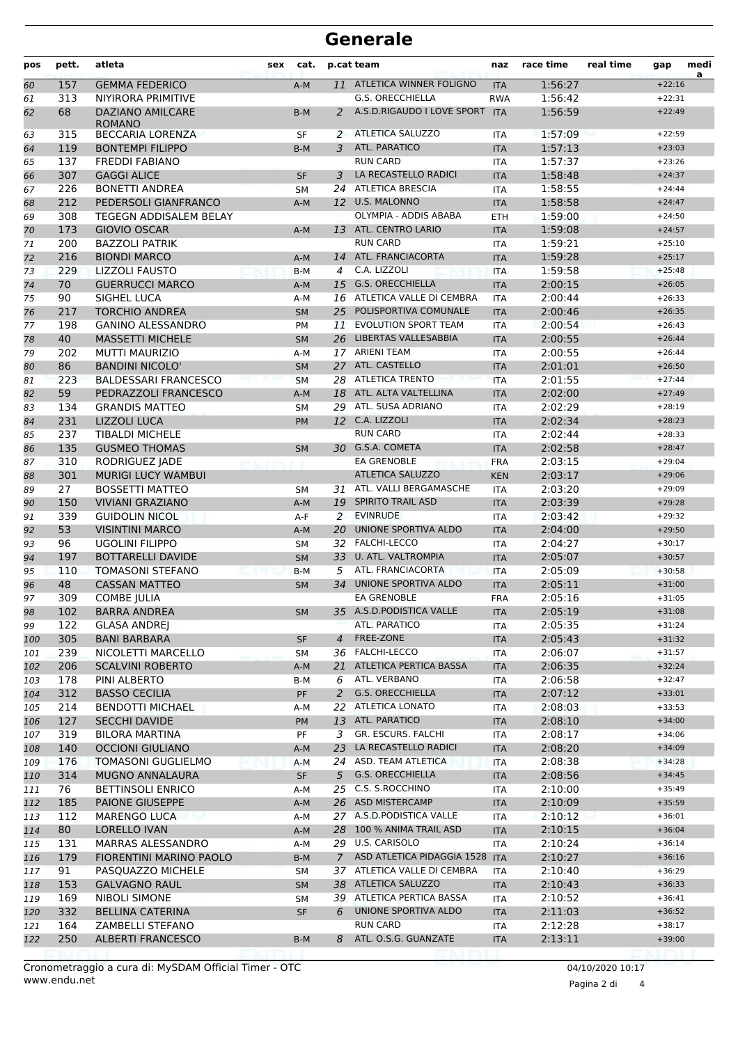### **Generale**

| pos      | pett.     | atleta                                            | sex | cat.               |                | p.cat team                                        | naz                      | race time          | real time | gap                  | medi<br>a |
|----------|-----------|---------------------------------------------------|-----|--------------------|----------------|---------------------------------------------------|--------------------------|--------------------|-----------|----------------------|-----------|
| 60       | 157       | <b>GEMMA FEDERICO</b>                             |     | $A-M$              | 11             | ATLETICA WINNER FOLIGNO                           | <b>ITA</b>               | 1:56:27            |           | $+22:16$             |           |
| 61       | 313       | NIYIRORA PRIMITIVE                                |     |                    |                | <b>G.S. ORECCHIELLA</b>                           | <b>RWA</b>               | 1:56:42            |           | $+22:31$             |           |
| 62       | 68        | <b>DAZIANO AMILCARE</b><br><b>ROMANO</b>          |     | $B-M$              | 2              | A.S.D.RIGAUDO I LOVE SPORT                        | <b>ITA</b>               | 1:56:59            |           | $+22:49$             |           |
| 63       | 315       | <b>BECCARIA LORENZA</b>                           |     | SF                 | 2              | <b>ATLETICA SALUZZO</b>                           | <b>ITA</b>               | 1:57:09            |           | $+22:59$             |           |
| 64       | 119       | <b>BONTEMPI FILIPPO</b>                           |     | $B-M$              | 3              | <b>ATL. PARATICO</b>                              | <b>ITA</b>               | 1:57:13            |           | $+23:03$             |           |
| 65       | 137       | <b>FREDDI FABIANO</b>                             |     |                    |                | <b>RUN CARD</b>                                   | <b>ITA</b>               | 1:57:37            |           | $+23:26$             |           |
| 66       | 307       | <b>GAGGI ALICE</b>                                |     | <b>SF</b>          | 3              | LA RECASTELLO RADICI                              | <b>ITA</b>               | 1:58:48            |           | $+24:37$             |           |
| 67       | 226       | <b>BONETTI ANDREA</b>                             |     | <b>SM</b>          | 24             | <b>ATLETICA BRESCIA</b>                           | <b>ITA</b>               | 1:58:55            |           | $+24:44$             |           |
| 68       | 212       | PEDERSOLI GIANFRANCO                              |     | $A-M$              |                | 12 U.S. MALONNO                                   | <b>ITA</b>               | 1:58:58            |           | $+24:47$             |           |
| 69       | 308       | <b>TEGEGN ADDISALEM BELAY</b>                     |     |                    |                | OLYMPIA - ADDIS ABABA                             | <b>ETH</b>               | 1:59:00            |           | $+24:50$             |           |
| 70       | 173       | <b>GIOVIO OSCAR</b>                               |     | $A-M$              |                | 13 ATL. CENTRO LARIO                              | <b>ITA</b>               | 1:59:08            |           | $+24:57$             |           |
| 71       | 200       | <b>BAZZOLI PATRIK</b>                             |     |                    |                | <b>RUN CARD</b>                                   | <b>ITA</b>               | 1:59:21            |           | $+25:10$             |           |
| 72       | 216       | <b>BIONDI MARCO</b>                               |     | $A-M$              | 14             | ATL. FRANCIACORTA                                 | <b>ITA</b>               | 1:59:28            |           | $+25:17$             |           |
| 73       | 229       | <b>LIZZOLI FAUSTO</b>                             |     | $B-M$              | 4              | C.A. LIZZOLI                                      | <b>ITA</b>               | 1:59:58            |           | $+25:48$             |           |
| 74       | 70        | <b>GUERRUCCI MARCO</b>                            |     | $A-M$              | 15             | <b>G.S. ORECCHIELLA</b>                           | <b>ITA</b>               | 2:00:15            |           | $+26:05$             |           |
| 75       | 90        | SIGHEL LUCA                                       |     | A-M                | 16             | ATLETICA VALLE DI CEMBRA<br>POLISPORTIVA COMUNALE | <b>ITA</b>               | 2:00:44<br>2:00:46 |           | $+26:33$<br>$+26:35$ |           |
| 76       | 217       | <b>TORCHIO ANDREA</b><br><b>GANINO ALESSANDRO</b> |     | <b>SM</b>          | 25             | <b>EVOLUTION SPORT TEAM</b>                       | <b>ITA</b>               |                    |           |                      |           |
| 77       | 198<br>40 | <b>MASSETTI MICHELE</b>                           |     | PM                 | 11             | LIBERTAS VALLESABBIA                              | <b>ITA</b>               | 2:00:54<br>2:00:55 |           | $+26:43$<br>$+26:44$ |           |
| 78       |           |                                                   |     | <b>SM</b>          | 26             | <b>ARIENI TEAM</b>                                | <b>ITA</b>               | 2:00:55            |           | $+26:44$             |           |
| 79       | 202<br>86 | <b>MUTTI MAURIZIO</b><br><b>BANDINI NICOLO'</b>   |     | $A-M$              | 17<br>27       | ATL. CASTELLO                                     | <b>ITA</b>               | 2:01:01            |           |                      |           |
| 80       | 223       | <b>BALDESSARI FRANCESCO</b>                       |     | <b>SM</b>          | 28             | <b>ATLETICA TRENTO</b>                            | <b>ITA</b>               | 2:01:55            |           | $+26:50$<br>$+27:44$ |           |
| 81       | 59        | PEDRAZZOLI FRANCESCO                              |     | <b>SM</b>          |                | 18 ATL. ALTA VALTELLINA                           | <b>ITA</b>               | 2:02:00            |           | $+27:49$             |           |
| 82<br>83 | 134       | <b>GRANDIS MATTEO</b>                             |     | $A-M$<br><b>SM</b> | 29             | ATL. SUSA ADRIANO                                 | <b>ITA</b><br><b>ITA</b> | 2:02:29            |           | $+28:19$             |           |
|          | 231       | <b>LIZZOLI LUCA</b>                               |     |                    |                | 12 C.A. LIZZOLI                                   | <b>ITA</b>               | 2:02:34            |           | $+28:23$             |           |
| 84<br>85 | 237       | <b>TIBALDI MICHELE</b>                            |     | <b>PM</b>          |                | <b>RUN CARD</b>                                   | <b>ITA</b>               | 2:02:44            |           | $+28:33$             |           |
| 86       | 135       | <b>GUSMEO THOMAS</b>                              |     | <b>SM</b>          |                | 30 G.S.A. COMETA                                  | <b>ITA</b>               | 2:02:58            |           | $+28:47$             |           |
| 87       | 310       | RODRIGUEZ JADE                                    |     |                    |                | <b>EA GRENOBLE</b>                                | <b>FRA</b>               | 2:03:15            |           | $+29:04$             |           |
| 88       | 301       | <b>MURIGI LUCY WAMBUI</b>                         |     |                    |                | <b>ATLETICA SALUZZO</b>                           | <b>KEN</b>               | 2:03:17            |           | $+29:06$             |           |
| 89       | 27        | <b>BOSSETTI MATTEO</b>                            |     | <b>SM</b>          | 31             | ATL. VALLI BERGAMASCHE                            | <b>ITA</b>               | 2:03:20            |           | $+29:09$             |           |
| 90       | 150       | <b>VIVIANI GRAZIANO</b>                           |     | $A-M$              | 19             | <b>SPIRITO TRAIL ASD</b>                          | <b>ITA</b>               | 2:03:39            |           | $+29:28$             |           |
| 91       | 339       | <b>GUIDOLIN NICOL</b>                             |     | $A-F$              | 2              | <b>EVINRUDE</b>                                   | <b>ITA</b>               | 2:03:42            |           | $+29:32$             |           |
| 92       | 53        | <b>VISINTINI MARCO</b>                            |     | $A-M$              | 20             | UNIONE SPORTIVA ALDO                              | <b>ITA</b>               | 2:04:00            |           | $+29:50$             |           |
| 93       | 96        | <b>UGOLINI FILIPPO</b>                            |     | <b>SM</b>          | 32             | <b>FALCHI-LECCO</b>                               | <b>ITA</b>               | 2:04:27            |           | $+30:17$             |           |
| 94       | 197       | <b>BOTTARELLI DAVIDE</b>                          |     | <b>SM</b>          | 33             | <b>U. ATL. VALTROMPIA</b>                         | <b>ITA</b>               | 2:05:07            |           | $+30:57$             |           |
| 95       | 110       | <b>TOMASONI STEFANO</b>                           |     | $B-M$              | 5              | ATL. FRANCIACORTA                                 | <b>ITA</b>               | 2:05:09            |           | $+30:58$             |           |
| 96       | 48        | <b>CASSAN MATTEO</b>                              |     | <b>SM</b>          | 34             | UNIONE SPORTIVA ALDO                              | <b>ITA</b>               | 2:05:11            |           | $+31:00$             |           |
| 97       | 309       | <b>COMBE JULIA</b>                                |     |                    |                | <b>EA GRENOBLE</b>                                | <b>FRA</b>               | 2:05:16            |           | $+31:05$             |           |
| 98       | 102       | <b>BARRA ANDREA</b>                               |     | <b>SM</b>          |                | 35 A.S.D.PODISTICA VALLE                          | <b>ITA</b>               | 2:05:19            |           | $+31:08$             |           |
| 99       | 122       | <b>GLASA ANDREJ</b>                               |     |                    |                | ATL. PARATICO                                     | ITA                      | 2:05:35            |           | $+31:24$             |           |
| 100      | 305       | <b>BANI BARBARA</b>                               |     | <b>SF</b>          | $\overline{4}$ | FREE-ZONE                                         | <b>ITA</b>               | 2:05:43            |           | $+31:32$             |           |
| 101      | 239       | NICOLETTI MARCELLO                                |     | SM                 |                | 36 FALCHI-LECCO                                   | ITA                      | 2:06:07            |           | $+31:57$             |           |
| 102      | 206       | <b>SCALVINI ROBERTO</b>                           |     | $A-M$              | 21             | ATLETICA PERTICA BASSA                            | <b>ITA</b>               | 2:06:35            |           | $+32:24$             |           |
| 103      | 178       | PINI ALBERTO                                      |     | B-M                | 6              | ATL. VERBANO                                      | ITA                      | 2:06:58            |           | $+32:47$             |           |
| 104      | 312       | <b>BASSO CECILIA</b>                              |     | PF                 | 2              | <b>G.S. ORECCHIELLA</b>                           | <b>ITA</b>               | 2:07:12            |           | $+33:01$             |           |
| 105      | 214       | <b>BENDOTTI MICHAEL</b>                           |     | A-M                | 22             | <b>ATLETICA LONATO</b>                            | ITA                      | 2:08:03            |           | $+33:53$             |           |
| 106      | 127       | <b>SECCHI DAVIDE</b>                              |     | <b>PM</b>          |                | 13 ATL. PARATICO                                  | <b>ITA</b>               | 2:08:10            |           | $+34:00$             |           |
| 107      | 319       | <b>BILORA MARTINA</b>                             |     | PF                 | 3              | GR. ESCURS. FALCHI                                | ITA                      | 2:08:17            |           | $+34:06$             |           |
| 108      | 140       | <b>OCCIONI GIULIANO</b>                           |     | A-M                | 23             | LA RECASTELLO RADICI                              | <b>ITA</b>               | 2:08:20            |           | $+34:09$             |           |
| 109      | 176       | <b>TOMASONI GUGLIELMO</b>                         |     | $A-M$              |                | 24 ASD. TEAM ATLETICA                             | ITA                      | 2:08:38            |           | $+34:28$             |           |
| 110      | 314       | <b>MUGNO ANNALAURA</b>                            |     | SF                 | 5              | <b>G.S. ORECCHIELLA</b>                           | <b>ITA</b>               | 2:08:56            |           | $+34:45$             |           |
| 111      | 76        | <b>BETTINSOLI ENRICO</b>                          |     | A-M                |                | 25 C.S. S.ROCCHINO                                | ITA                      | 2:10:00            |           | $+35:49$             |           |
| 112      | 185       | PAIONE GIUSEPPE                                   |     | A-M                |                | 26 ASD MISTERCAMP                                 | <b>ITA</b>               | 2:10:09            |           | $+35:59$             |           |
| 113      | 112       | <b>MARENGO LUCA</b>                               |     | A-M                |                | 27 A.S.D. PODISTICA VALLE                         | ITA                      | 2:10:12            |           | $+36:01$             |           |
| 114      | 80        | LORELLO IVAN                                      |     | $A-M$              |                | 28 100 % ANIMA TRAIL ASD                          | <b>ITA</b>               | 2:10:15            |           | $+36:04$             |           |
| 115      | 131       | <b>MARRAS ALESSANDRO</b>                          |     | A-M                |                | 29 U.S. CARISOLO                                  | ITA                      | 2:10:24            |           | $+36:14$             |           |
| 116      | 179       | FIORENTINI MARINO PAOLO                           |     | $B-M$              | $7^{\circ}$    | ASD ATLETICA PIDAGGIA 1528                        | <b>ITA</b>               | 2:10:27            |           | $+36:16$             |           |
| 117      | 91        | PASQUAZZO MICHELE                                 |     | SM                 |                | 37 ATLETICA VALLE DI CEMBRA                       | <b>ITA</b>               | 2:10:40            |           | $+36:29$             |           |
| 118      | 153       | <b>GALVAGNO RAUL</b>                              |     | <b>SM</b>          |                | 38 ATLETICA SALUZZO                               | <b>ITA</b>               | 2:10:43            |           | $+36:33$             |           |
| 119      | 169       | <b>NIBOLI SIMONE</b>                              |     | SM                 |                | 39 ATLETICA PERTICA BASSA                         | <b>ITA</b>               | 2:10:52            |           | $+36:41$             |           |
| 120      | 332       | <b>BELLINA CATERINA</b>                           |     | <b>SF</b>          | 6              | UNIONE SPORTIVA ALDO                              | <b>ITA</b>               | 2:11:03            |           | $+36:52$             |           |
| 121      | 164       | ZAMBELLI STEFANO                                  |     |                    |                | <b>RUN CARD</b>                                   | ITA                      | 2:12:28            |           | $+38:17$             |           |
| 122      | 250       | <b>ALBERTI FRANCESCO</b>                          |     | B-M                | 8              | ATL. O.S.G. GUANZATE                              | <b>ITA</b>               | 2:13:11            |           | $+39:00$             |           |

Pagina 2 di 4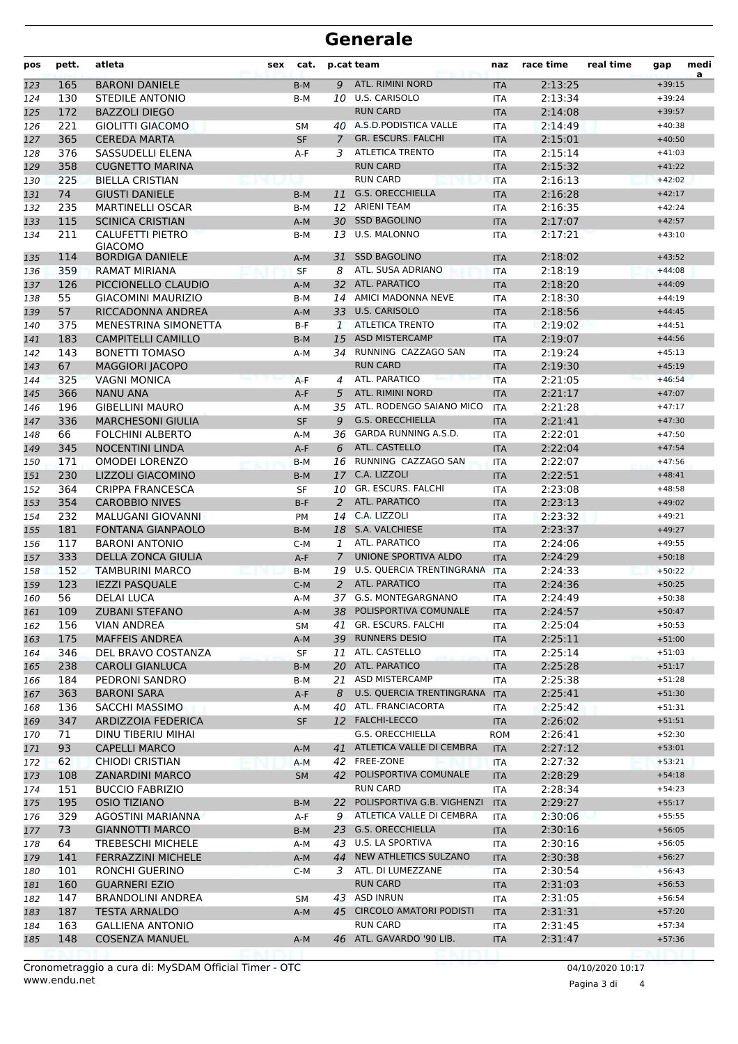#### **Generale**

| pos        | pett.    | atleta                                             | sex | cat.           |                | p.cat team                                   | naz               | race time          | real time | gap                  | medi<br>a |
|------------|----------|----------------------------------------------------|-----|----------------|----------------|----------------------------------------------|-------------------|--------------------|-----------|----------------------|-----------|
| 123        | 165      | <b>BARONI DANIELE</b>                              |     | $B-M$          | 9              | ATL. RIMINI NORD                             | <b>ITA</b>        | 2:13:25            |           | $+39:15$             |           |
| 124        | 130      | STEDILE ANTONIO                                    |     | $B-M$          |                | 10 U.S. CARISOLO                             | <b>ITA</b>        | 2:13:34            |           | $+39:24$             |           |
| 125        | 172      | <b>BAZZOLI DIEGO</b>                               |     |                |                | <b>RUN CARD</b>                              | <b>ITA</b>        | 2:14:08            |           | $+39:57$             |           |
| 126        | 221      | <b>GIOLITTI GIACOMO</b>                            |     | SM             |                | 40 A.S.D. PODISTICA VALLE                    | <b>ITA</b>        | 2:14:49            |           | $+40:38$             |           |
| 127        | 365      | <b>CEREDA MARTA</b>                                |     | <b>SF</b>      | $\overline{7}$ | <b>GR. ESCURS. FALCHI</b>                    | <b>ITA</b>        | 2:15:01            |           | $+40:50$             |           |
| 128        | 376      | SASSUDELLI ELENA                                   |     | $A-F$          | 3              | <b>ATLETICA TRENTO</b>                       | <b>ITA</b>        | 2:15:14            |           | $+41:03$             |           |
| 129        | 358      | <b>CUGNETTO MARINA</b>                             |     |                |                | <b>RUN CARD</b>                              | <b>ITA</b>        | 2:15:32            |           | $+41:22$             |           |
| 130        | 225      | <b>BIELLA CRISTIAN</b>                             |     |                |                | <b>RUN CARD</b>                              | <b>ITA</b>        | 2:16:13            |           | $+42:02$             |           |
| 131        | 74       | <b>GIUSTI DANIELE</b>                              |     | $B-M$          | 11             | <b>G.S. ORECCHIELLA</b>                      | <b>ITA</b>        | 2:16:28            |           | $+42:17$             |           |
| 132        | 235      | <b>MARTINELLI OSCAR</b>                            |     | B-M            | 12             | ARIENI TEAM                                  | <b>ITA</b>        | 2:16:35            |           | $+42:24$             |           |
| 133        | 115      | <b>SCINICA CRISTIAN</b>                            |     | $A-M$          | 30             | <b>SSD BAGOLINO</b>                          | <b>ITA</b>        | 2:17:07            |           | $+42:57$             |           |
| 134        | 211      | <b>CALUFETTI PIETRO</b><br><b>GIACOMO</b>          |     | B-M            | 13             | <b>U.S. MALONNO</b>                          | <b>ITA</b>        | 2:17:21            |           | $+43:10$             |           |
| 135        | 114      | <b>BORDIGA DANIELE</b>                             |     | $A-M$          | 31             | <b>SSD BAGOLINO</b>                          | <b>ITA</b>        | 2:18:02            |           | $+43:52$             |           |
| 136        | 359      | <b>RAMAT MIRIANA</b>                               |     | <b>SF</b>      | 8              | ATL. SUSA ADRIANO                            | <b>ITA</b>        | 2:18:19            |           | $+44:08$             |           |
| 137        | 126      | PICCIONELLO CLAUDIO                                |     | $A-M$          | 32             | ATL. PARATICO                                | <b>ITA</b>        | 2:18:20            |           | $+44:09$             |           |
| 138        | 55       | <b>GIACOMINI MAURIZIO</b>                          |     | B-M            |                | 14 AMICI MADONNA NEVE                        | <b>ITA</b>        | 2:18:30            |           | $+44:19$             |           |
| 139        | 57       | RICCADONNA ANDREA                                  |     | A-M            | 33             | <b>U.S. CARISOLO</b>                         | <b>ITA</b>        | 2:18:56            |           | $+44:45$             |           |
| 140        | 375      | <b>MENESTRINA SIMONETTA</b>                        |     | $B-F$          | 1              | <b>ATLETICA TRENTO</b>                       | <b>ITA</b>        | 2:19:02            |           | $+44:51$             |           |
| 141        | 183      | <b>CAMPITELLI CAMILLO</b>                          |     | $B-M$          | 15             | <b>ASD MISTERCAMP</b>                        | <b>ITA</b>        | 2:19:07            |           | $+44:56$             |           |
| 142        | 143      | <b>BONETTI TOMASO</b>                              |     | A-M            | 34             | RUNNING CAZZAGO SAN                          | <b>ITA</b>        | 2:19:24            |           | $+45:13$             |           |
| 143        | 67       | <b>MAGGIORI JACOPO</b>                             |     |                |                | <b>RUN CARD</b>                              | <b>ITA</b>        | 2:19:30            |           | $+45:19$             |           |
| 144        | 325      | <b>VAGNI MONICA</b>                                |     | $A-F$          | 4              | ATL. PARATICO                                | <b>ITA</b>        | 2:21:05            |           | $+46:54$             |           |
| 145        | 366      | <b>NANU ANA</b>                                    |     | A-F            | 5              | ATL. RIMINI NORD                             | <b>ITA</b>        | 2:21:17            |           | $+47:07$             |           |
| 146        | 196      | <b>GIBELLINI MAURO</b>                             |     | $A-M$          | 35             | ATL. RODENGO SAIANO MICO                     | <b>ITA</b>        | 2:21:28            |           | $+47:17$             |           |
| 147        | 336      | <b>MARCHESONI GIULIA</b>                           |     | <b>SF</b>      | 9              | <b>G.S. ORECCHIELLA</b>                      | <b>ITA</b>        | 2:21:41            |           | $+47:30$             |           |
| 148        | 66       | <b>FOLCHINI ALBERTO</b>                            |     | A-M            | 36             | <b>GARDA RUNNING A.S.D.</b>                  | <b>ITA</b>        | 2:22:01            |           | $+47:50$             |           |
| 149        | 345      | <b>NOCENTINI LINDA</b>                             |     | $A-F$          | 6              | ATL. CASTELLO                                | <b>ITA</b>        | 2:22:04            |           | $+47:54$             |           |
| 150        | 171      | <b>OMODEI LORENZO</b>                              |     | $B-M$          | 16             | RUNNING CAZZAGO SAN                          | <b>ITA</b>        | 2:22:07            |           | $+47:56$             |           |
| 151        | 230      | LIZZOLI GIACOMINO                                  |     | B-M            | 17             | C.A. LIZZOLI                                 | <b>ITA</b>        | 2:22:51            |           | $+48:41$             |           |
| 152        | 364      | <b>CRIPPA FRANCESCA</b>                            |     | SF             | 10             | GR. ESCURS. FALCHI                           | <b>ITA</b>        | 2:23:08            |           | $+48:58$             |           |
| 153        | 354      | <b>CAROBBIO NIVES</b>                              |     | $B-F$          | 2              | ATL. PARATICO                                | <b>ITA</b>        | 2:23:13            |           | $+49:02$             |           |
| 154        | 232      | <b>MALUGANI GIOVANNI</b>                           |     | <b>PM</b>      | 14             | C.A. LIZZOLI                                 | <b>ITA</b>        | 2:23:32            |           | $+49:21$             |           |
| 155        | 181      | <b>FONTANA GIANPAOLO</b>                           |     | $B-M$          | 18             | S.A. VALCHIESE                               | <b>ITA</b>        | 2:23:37            |           | $+49:27$             |           |
| 156        | 117      | <b>BARONI ANTONIO</b>                              |     | $C-M$          | 1              | ATL. PARATICO                                | <b>ITA</b>        | 2:24:06            |           | $+49:55$             |           |
| 157        | 333      | <b>DELLA ZONCA GIULIA</b>                          |     | A-F            | $\overline{7}$ | UNIONE SPORTIVA ALDO                         | <b>ITA</b>        | 2:24:29            |           | $+50:18$             |           |
| 158        | 152      | <b>TAMBURINI MARCO</b>                             |     | $B-M$          | 19             | U.S. QUERCIA TRENTINGRANA                    | <b>ITA</b>        | 2:24:33            |           | $+50:22$             |           |
| 159        | 123      | <b>IEZZI PASQUALE</b>                              |     | $C-M$          | 2              | ATL. PARATICO                                | <b>ITA</b>        | 2:24:36            |           | $+50:25$             |           |
| 160        | 56       | DELAI LUCA                                         |     | $A-M$          |                | 37 G.S. MONTEGARGNANO                        | <b>ITA</b>        | 2:24:49            |           | $+50:38$             |           |
| 161        | 109      | ZUBANI STEFANO                                     |     | A-M            |                | 38 POLISPORTIVA COMUNALE                     | <b>ITA</b>        | 2:24:57            |           | $+50:47$             |           |
| 162        | 156      | <b>VIAN ANDREA</b>                                 |     | SM             | 41             | <b>GR. ESCURS. FALCHI</b>                    | ITA               | 2:25:04            |           | $+50:53$             |           |
| 163        | 175      | <b>MAFFEIS ANDREA</b>                              |     | A-M            |                | 39 RUNNERS DESIO                             | <b>ITA</b>        | 2:25:11            |           | $+51:00$             |           |
| 164        | 346      | DEL BRAVO COSTANZA                                 |     | SF             | 11             | ATL. CASTELLO                                | ITA               | 2:25:14            |           | $+51:03$             |           |
| 165        | 238      | <b>CAROLI GIANLUCA</b>                             |     | B-M            |                | 20 ATL. PARATICO                             | <b>ITA</b>        | 2:25:28            |           | $+51:17$             |           |
| 166        | 184      | PEDRONI SANDRO                                     |     | B-M            |                | 21 ASD MISTERCAMP                            | ITA               | 2:25:38            |           | $+51:28$             |           |
| 167        | 363      | <b>BARONI SARA</b>                                 |     | A-F            | 8              | U.S. QUERCIA TRENTINGRANA                    | <b>ITA</b>        | 2:25:41            |           | $+51:30$             |           |
| 168        | 136      | <b>SACCHI MASSIMO</b>                              |     | A-M            |                | 40 ATL. FRANCIACORTA                         | ITA               | 2:25:42            |           | $+51:31$             |           |
| 169        | 347      | ARDIZZOIA FEDERICA                                 |     | <b>SF</b>      |                | 12 FALCHI-LECCO                              | <b>ITA</b>        | 2:26:02            |           | $+51:51$             |           |
| 170        | 71       | DINU TIBERIU MIHAI                                 |     |                |                | G.S. ORECCHIELLA                             | ROM               | 2:26:41            |           | $+52:30$             |           |
| 171        | 93       | <b>CAPELLI MARCO</b>                               |     | $A-M$          | 41             | ATLETICA VALLE DI CEMBRA                     | <b>ITA</b>        | 2:27:12            |           | $+53:01$             |           |
| 172        | 62       | <b>CHIODI CRISTIAN</b>                             |     | $A-M$          |                | 42 FREE-ZONE                                 | ITA               | 2:27:32            |           | $+53:21$             |           |
| 173        | 108      | <b>ZANARDINI MARCO</b>                             |     | <b>SM</b>      |                | 42 POLISPORTIVA COMUNALE                     | <b>ITA</b>        | 2:28:29            |           | $+54:18$             |           |
| 174        | 151      | <b>BUCCIO FABRIZIO</b>                             |     |                |                | <b>RUN CARD</b>                              | ITA               | 2:28:34            |           | $+54:23$             |           |
| 175        | 195      | <b>OSIO TIZIANO</b>                                |     | B-M            | <b>22</b>      | POLISPORTIVA G.B. VIGHENZI                   | <b>ITA</b>        | 2:29:27            |           | $+55:17$             |           |
| 176        | 329      | AGOSTINI MARIANNA                                  |     | A-F            | 9              | ATLETICA VALLE DI CEMBRA<br>G.S. ORECCHIELLA | ITA               | 2:30:06            |           | $+55:55$<br>$+56:05$ |           |
| 177        | 73<br>64 | <b>GIANNOTTI MARCO</b><br><b>TREBESCHI MICHELE</b> |     | B-M            | 23             | 43 U.S. LA SPORTIVA                          | <b>ITA</b>        | 2:30:16<br>2:30:16 |           | $+56:05$             |           |
| 178        | 141      | <b>FERRAZZINI MICHELE</b>                          |     | A-M            | 44             | NEW ATHLETICS SULZANO                        | ITA               | 2:30:38            |           | $+56:27$             |           |
| 179<br>180 | 101      | RONCHI GUERINO                                     |     | $A-M$<br>$C-M$ |                | 3 ATL. DI LUMEZZANE                          | <b>ITA</b><br>ITA | 2:30:54            |           | $+56:43$             |           |
| 181        | 160      | <b>GUARNERI EZIO</b>                               |     |                |                | <b>RUN CARD</b>                              | <b>ITA</b>        | 2:31:03            |           | $+56:53$             |           |
| 182        | 147      | <b>BRANDOLINI ANDREA</b>                           |     | SM             |                | 43 ASD INRUN                                 | ITA               | 2:31:05            |           | $+56:54$             |           |
| 183        | 187      | <b>TESTA ARNALDO</b>                               |     | A-M            | 45             | <b>CIRCOLO AMATORI PODISTI</b>               | <b>ITA</b>        | 2:31:31            |           | $+57:20$             |           |
| 184        | 163      | <b>GALLIENA ANTONIO</b>                            |     |                |                | <b>RUN CARD</b>                              | ITA               | 2:31:45            |           | $+57:34$             |           |
| 185        | 148      | <b>COSENZA MANUEL</b>                              |     | $A-M$          |                | 46 ATL. GAVARDO '90 LIB.                     | <b>ITA</b>        | 2:31:47            |           | $+57:36$             |           |
|            |          |                                                    |     |                |                |                                              |                   |                    |           |                      |           |

www.endu.net Cronometraggio a cura di: MySDAM Official Timer - OTC 04/10/2020 10:17

Pagina 3 di 4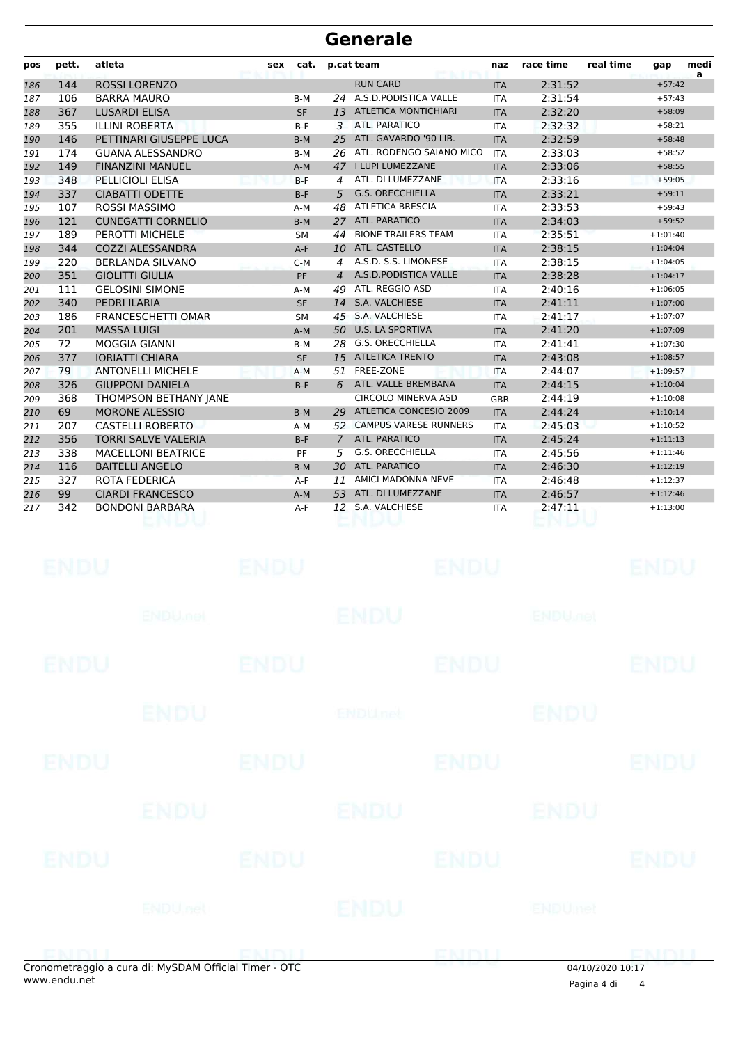## **Generale**

| pos | pett. | atleta                     | sex | cat.      |                | p.cat team                  | naz        | race time | real time | gap        | medi<br>a |
|-----|-------|----------------------------|-----|-----------|----------------|-----------------------------|------------|-----------|-----------|------------|-----------|
| 186 | 144   | <b>ROSSI LORENZO</b>       |     |           |                | <b>RUN CARD</b>             | <b>ITA</b> | 2:31:52   |           | $+57:42$   |           |
| 187 | 106   | <b>BARRA MAURO</b>         |     | $B-M$     | 24             | A.S.D.PODISTICA VALLE       | <b>ITA</b> | 2:31:54   |           | $+57:43$   |           |
| 188 | 367   | <b>LUSARDI ELISA</b>       |     | <b>SF</b> | 13             | <b>ATLETICA MONTICHIARI</b> | <b>ITA</b> | 2:32:20   |           | $+58:09$   |           |
| 189 | 355   | <b>ILLINI ROBERTA</b>      |     | $B-F$     | 3              | ATL. PARATICO               | <b>ITA</b> | 2:32:32   |           | $+58:21$   |           |
| 190 | 146   | PETTINARI GIUSEPPE LUCA    |     | $B-M$     | 25             | ATL. GAVARDO '90 LIB.       | <b>ITA</b> | 2:32:59   |           | $+58:48$   |           |
| 191 | 174   | <b>GUANA ALESSANDRO</b>    |     | $B-M$     | 26             | ATL. RODENGO SAIANO MICO    | <b>ITA</b> | 2:33:03   |           | $+58:52$   |           |
| 192 | 149   | <b>FINANZINI MANUEL</b>    |     | $A-M$     | 47             | I LUPI LUMEZZANE            | <b>ITA</b> | 2:33:06   |           | $+58:55$   |           |
| 193 | 348   | PELLICIOLI ELISA           |     | $B-F$     | $\overline{a}$ | ATL. DI LUMEZZANE           | <b>ITA</b> | 2:33:16   |           | $+59:05$   |           |
| 194 | 337   | <b>CIABATTI ODETTE</b>     |     | $B-F$     | 5              | <b>G.S. ORECCHIELLA</b>     | <b>ITA</b> | 2:33:21   |           | $+59:11$   |           |
| 195 | 107   | <b>ROSSI MASSIMO</b>       |     | $A-M$     | 48             | <b>ATLETICA BRESCIA</b>     | <b>ITA</b> | 2:33:53   |           | $+59:43$   |           |
| 196 | 121   | <b>CUNEGATTI CORNELIO</b>  |     | $B-M$     | 27             | <b>ATL. PARATICO</b>        | <b>ITA</b> | 2:34:03   |           | $+59:52$   |           |
| 197 | 189   | PEROTTI MICHELE            |     | <b>SM</b> | 44             | <b>BIONE TRAILERS TEAM</b>  | <b>ITA</b> | 2:35:51   |           | $+1:01:40$ |           |
| 198 | 344   | <b>COZZI ALESSANDRA</b>    |     | $A-F$     | 10             | ATL. CASTELLO               | <b>ITA</b> | 2:38:15   |           | $+1:04:04$ |           |
| 199 | 220   | <b>BERLANDA SILVANO</b>    |     | $C-M$     | 4              | A.S.D. S.S. LIMONESE        | <b>ITA</b> | 2:38:15   |           | $+1:04:05$ |           |
| 200 | 351   | <b>GIOLITTI GIULIA</b>     |     | PF        | $\overline{4}$ | A.S.D.PODISTICA VALLE       | <b>ITA</b> | 2:38:28   |           | $+1:04:17$ |           |
| 201 | 111   | <b>GELOSINI SIMONE</b>     |     | $A-M$     | 49             | ATL. REGGIO ASD             | <b>ITA</b> | 2:40:16   |           | $+1:06:05$ |           |
| 202 | 340   | <b>PEDRI ILARIA</b>        |     | <b>SF</b> | 14             | S.A. VALCHIESE              | <b>ITA</b> | 2:41:11   |           | $+1:07:00$ |           |
| 203 | 186   | <b>FRANCESCHETTI OMAR</b>  |     | <b>SM</b> | 45             | S.A. VALCHIESE              | <b>ITA</b> | 2:41:17   |           | $+1:07:07$ |           |
| 204 | 201   | <b>MASSA LUIGI</b>         |     | $A-M$     | 50             | <b>U.S. LA SPORTIVA</b>     | <b>ITA</b> | 2:41:20   |           | $+1:07:09$ |           |
| 205 | 72    | <b>MOGGIA GIANNI</b>       |     | $B-M$     | 28             | G.S. ORECCHIELLA            | <b>ITA</b> | 2:41:41   |           | $+1:07:30$ |           |
| 206 | 377   | <b>IORIATTI CHIARA</b>     |     | <b>SF</b> | 15             | <b>ATLETICA TRENTO</b>      | <b>ITA</b> | 2:43:08   |           | $+1:08:57$ |           |
| 207 | 79    | <b>ANTONELLI MICHELE</b>   |     | $A-M$     | 51             | FREE-ZONE                   | <b>ITA</b> | 2:44:07   |           | $+1:09:57$ |           |
| 208 | 326   | <b>GIUPPONI DANIELA</b>    |     | $B-F$     | 6              | ATL. VALLE BREMBANA         | <b>ITA</b> | 2:44:15   |           | $+1:10:04$ |           |
| 209 | 368   | THOMPSON BETHANY JANE      |     |           |                | <b>CIRCOLO MINERVA ASD</b>  | <b>GBR</b> | 2:44:19   |           | $+1:10:08$ |           |
| 210 | 69    | <b>MORONE ALESSIO</b>      |     | $B-M$     | 29             | ATLETICA CONCESIO 2009      | <b>ITA</b> | 2:44:24   |           | $+1:10:14$ |           |
| 211 | 207   | <b>CASTELLI ROBERTO</b>    |     | $A-M$     |                | 52 CAMPUS VARESE RUNNERS    | <b>ITA</b> | 2:45:03   |           | $+1:10:52$ |           |
| 212 | 356   | <b>TORRI SALVE VALERIA</b> |     | $B-F$     | 7              | ATL. PARATICO               | <b>ITA</b> | 2:45:24   |           | $+1:11:13$ |           |
| 213 | 338   | <b>MACELLONI BEATRICE</b>  |     | PF        | 5              | <b>G.S. ORECCHIELLA</b>     | <b>ITA</b> | 2:45:56   |           | $+1:11:46$ |           |
| 214 | 116   | <b>BAITELLI ANGELO</b>     |     | $B-M$     | 30             | ATL. PARATICO               | <b>ITA</b> | 2:46:30   |           | $+1:12:19$ |           |
| 215 | 327   | ROTA FEDERICA              |     | $A-F$     | 11             | AMICI MADONNA NEVE          | <b>ITA</b> | 2:46:48   |           | $+1:12:37$ |           |
| 216 | 99    | <b>CIARDI FRANCESCO</b>    |     | $A-M$     | 53             | ATL. DI LUMEZZANE           | <b>ITA</b> | 2:46:57   |           | $+1:12:46$ |           |
| 217 | 342   | <b>BONDONI BARBARA</b>     |     | $A-F$     | 12             | S.A. VALCHIESE              | <b>ITA</b> | 2:47:11   |           | $+1:13:00$ |           |
|     |       |                            |     |           |                |                             |            |           |           |            |           |

|             | onometraggio a cura di: MySDAM Official Timer - OTC |             |                           | ENDU        | $01/10/2020$ 10.17        | CMDI II     |
|-------------|-----------------------------------------------------|-------------|---------------------------|-------------|---------------------------|-------------|
|             | <b>ENDU</b> nel                                     |             | ENDU                      |             | ENDUmet                   |             |
| ENDU        |                                                     | <b>ENDU</b> |                           | <b>ENDU</b> |                           | <b>ENDU</b> |
|             | ENDU                                                |             | ENDU                      |             | ENDU                      |             |
| ENDU        |                                                     | <b>ENDU</b> |                           | <b>ENDU</b> |                           | <b>ENDU</b> |
|             | <b>ENDU</b>                                         |             | <b>ENDU<sub>net</sub></b> |             | <b>ENDU</b>               |             |
| <b>ENDU</b> |                                                     | <b>ENDU</b> |                           | <b>ENDU</b> |                           | <b>ENDU</b> |
|             | <b>ENDU<sub>met</sub></b>                           |             | <b>ENDU</b>               |             | <b>ENDU<sub>DEL</sub></b> |             |
| <b>ENDU</b> |                                                     | <b>ENDU</b> |                           | <b>ENDU</b> |                           | <b>ENDU</b> |